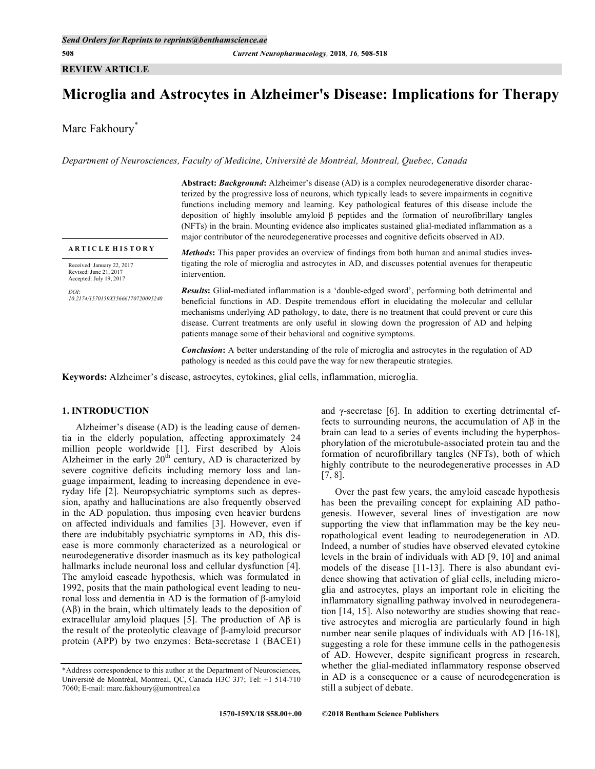## **REVIEW ARTICLE**

# **Microglia and Astrocytes in Alzheimer's Disease: Implications for Therapy**

Marc Fakhoury\*

*Department of Neurosciences, Faculty of Medicine, Université de Montréal, Montreal, Quebec, Canada*

**Abstract:** *Background***:** Alzheimer's disease (AD) is a complex neurodegenerative disorder characterized by the progressive loss of neurons, which typically leads to severe impairments in cognitive functions including memory and learning. Key pathological features of this disease include the deposition of highly insoluble amyloid β peptides and the formation of neurofibrillary tangles (NFTs) in the brain. Mounting evidence also implicates sustained glial-mediated inflammation as a major contributor of the neurodegenerative processes and cognitive deficits observed in AD.

**A R T I C L E H I S T O R Y**

Received: January 22, 2017 Revised: June 21, 2017 Accepted: July 19, 2017

*DOI: 10.2174/1570159X15666170720095240* *Methods***:** This paper provides an overview of findings from both human and animal studies investigating the role of microglia and astrocytes in AD, and discusses potential avenues for therapeutic intervention.

*Results***:** Glial-mediated inflammation is a 'double-edged sword', performing both detrimental and beneficial functions in AD. Despite tremendous effort in elucidating the molecular and cellular mechanisms underlying AD pathology, to date, there is no treatment that could prevent or cure this disease. Current treatments are only useful in slowing down the progression of AD and helping patients manage some of their behavioral and cognitive symptoms.

*Conclusion***:** A better understanding of the role of microglia and astrocytes in the regulation of AD pathology is needed as this could pave the way for new therapeutic strategies.

**Keywords:** Alzheimer's disease, astrocytes, cytokines, glial cells, inflammation, microglia.

# **1. INTRODUCTION**

Alzheimer's disease (AD) is the leading cause of dementia in the elderly population, affecting approximately 24 million people worldwide [1]. First described by Alois Alzheimer in the early  $20<sup>th</sup>$  century, AD is characterized by severe cognitive deficits including memory loss and language impairment, leading to increasing dependence in everyday life [2]. Neuropsychiatric symptoms such as depression, apathy and hallucinations are also frequently observed in the AD population, thus imposing even heavier burdens on affected individuals and families [3]. However, even if there are indubitably psychiatric symptoms in AD, this disease is more commonly characterized as a neurological or neurodegenerative disorder inasmuch as its key pathological hallmarks include neuronal loss and cellular dysfunction [4]. The amyloid cascade hypothesis, which was formulated in 1992, posits that the main pathological event leading to neuronal loss and dementia in AD is the formation of β-amyloid (Aβ) in the brain, which ultimately leads to the deposition of extracellular amyloid plaques [5]. The production of  $\mathbf{A}\mathbf{\beta}$  is the result of the proteolytic cleavage of β-amyloid precursor protein (APP) by two enzymes: Beta-secretase 1 (BACE1)

and γ-secretase [6]. In addition to exerting detrimental effects to surrounding neurons, the accumulation of Aβ in the brain can lead to a series of events including the hyperphosphorylation of the microtubule-associated protein tau and the formation of neurofibrillary tangles (NFTs), both of which highly contribute to the neurodegenerative processes in AD [7, 8].

Over the past few years, the amyloid cascade hypothesis has been the prevailing concept for explaining AD pathogenesis. However, several lines of investigation are now supporting the view that inflammation may be the key neuropathological event leading to neurodegeneration in AD. Indeed, a number of studies have observed elevated cytokine levels in the brain of individuals with AD [9, 10] and animal models of the disease [11-13]. There is also abundant evidence showing that activation of glial cells, including microglia and astrocytes, plays an important role in eliciting the inflammatory signalling pathway involved in neurodegeneration [14, 15]. Also noteworthy are studies showing that reactive astrocytes and microglia are particularly found in high number near senile plaques of individuals with AD [16-18], suggesting a role for these immune cells in the pathogenesis of AD. However, despite significant progress in research, whether the glial-mediated inflammatory response observed in AD is a consequence or a cause of neurodegeneration is still a subject of debate.

<sup>\*</sup>Address correspondence to this author at the Department of Neurosciences, Université de Montréal, Montreal, QC, Canada H3C 3J7; Tel: +1 514-710 7060; E-mail: marc.fakhoury@umontreal.ca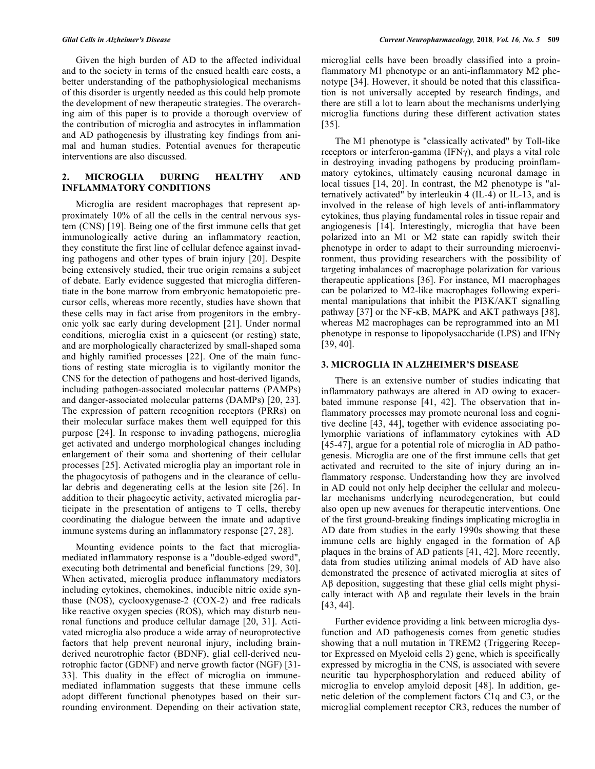Given the high burden of AD to the affected individual and to the society in terms of the ensued health care costs, a better understanding of the pathophysiological mechanisms of this disorder is urgently needed as this could help promote the development of new therapeutic strategies. The overarching aim of this paper is to provide a thorough overview of the contribution of microglia and astrocytes in inflammation and AD pathogenesis by illustrating key findings from animal and human studies. Potential avenues for therapeutic interventions are also discussed.

## **2. MICROGLIA DURING HEALTHY AND INFLAMMATORY CONDITIONS**

Microglia are resident macrophages that represent approximately 10% of all the cells in the central nervous system (CNS) [19]. Being one of the first immune cells that get immunologically active during an inflammatory reaction, they constitute the first line of cellular defence against invading pathogens and other types of brain injury [20]. Despite being extensively studied, their true origin remains a subject of debate. Early evidence suggested that microglia differentiate in the bone marrow from embryonic hematopoietic precursor cells, whereas more recently, studies have shown that these cells may in fact arise from progenitors in the embryonic yolk sac early during development [21]. Under normal conditions, microglia exist in a quiescent (or resting) state, and are morphologically characterized by small-shaped soma and highly ramified processes [22]. One of the main functions of resting state microglia is to vigilantly monitor the CNS for the detection of pathogens and host-derived ligands, including pathogen-associated molecular patterns (PAMPs) and danger-associated molecular patterns (DAMPs) [20, 23]. The expression of pattern recognition receptors (PRRs) on their molecular surface makes them well equipped for this purpose [24]. In response to invading pathogens, microglia get activated and undergo morphological changes including enlargement of their soma and shortening of their cellular processes [25]. Activated microglia play an important role in the phagocytosis of pathogens and in the clearance of cellular debris and degenerating cells at the lesion site [26]. In addition to their phagocytic activity, activated microglia participate in the presentation of antigens to T cells, thereby coordinating the dialogue between the innate and adaptive immune systems during an inflammatory response [27, 28].

Mounting evidence points to the fact that microgliamediated inflammatory response is a "double-edged sword", executing both detrimental and beneficial functions [29, 30]. When activated, microglia produce inflammatory mediators including cytokines, chemokines, inducible nitric oxide synthase (NOS), cyclooxygenase-2 (COX-2) and free radicals like reactive oxygen species (ROS), which may disturb neuronal functions and produce cellular damage [20, 31]. Activated microglia also produce a wide array of neuroprotective factors that help prevent neuronal injury, including brainderived neurotrophic factor (BDNF), glial cell-derived neurotrophic factor (GDNF) and nerve growth factor (NGF) [31- 33]. This duality in the effect of microglia on immunemediated inflammation suggests that these immune cells adopt different functional phenotypes based on their surrounding environment. Depending on their activation state, microglial cells have been broadly classified into a proinflammatory M1 phenotype or an anti-inflammatory M2 phenotype [34]. However, it should be noted that this classification is not universally accepted by research findings, and there are still a lot to learn about the mechanisms underlying microglia functions during these different activation states [35].

The M1 phenotype is "classically activated" by Toll-like receptors or interferon-gamma (IFNγ), and plays a vital role in destroying invading pathogens by producing proinflammatory cytokines, ultimately causing neuronal damage in local tissues [14, 20]. In contrast, the M2 phenotype is "alternatively activated" by interleukin 4 (IL-4) or IL-13, and is involved in the release of high levels of anti-inflammatory cytokines, thus playing fundamental roles in tissue repair and angiogenesis [14]. Interestingly, microglia that have been polarized into an M1 or M2 state can rapidly switch their phenotype in order to adapt to their surrounding microenvironment, thus providing researchers with the possibility of targeting imbalances of macrophage polarization for various therapeutic applications [36]. For instance, M1 macrophages can be polarized to M2-like macrophages following experimental manipulations that inhibit the PI3K/AKT signalling pathway [37] or the NF- $\kappa$ B, MAPK and AKT pathways [38], whereas M2 macrophages can be reprogrammed into an M1 phenotype in response to lipopolysaccharide (LPS) and IFNγ [39, 40].

### **3. MICROGLIA IN ALZHEIMER'S DISEASE**

There is an extensive number of studies indicating that inflammatory pathways are altered in AD owing to exacerbated immune response [41, 42]. The observation that inflammatory processes may promote neuronal loss and cognitive decline [43, 44], together with evidence associating polymorphic variations of inflammatory cytokines with AD [45-47], argue for a potential role of microglia in AD pathogenesis. Microglia are one of the first immune cells that get activated and recruited to the site of injury during an inflammatory response. Understanding how they are involved in AD could not only help decipher the cellular and molecular mechanisms underlying neurodegeneration, but could also open up new avenues for therapeutic interventions. One of the first ground-breaking findings implicating microglia in AD date from studies in the early 1990s showing that these immune cells are highly engaged in the formation of Aβ plaques in the brains of AD patients [41, 42]. More recently, data from studies utilizing animal models of AD have also demonstrated the presence of activated microglia at sites of Aβ deposition, suggesting that these glial cells might physically interact with  $\mathbf{A}\mathbf{\beta}$  and regulate their levels in the brain [43, 44].

Further evidence providing a link between microglia dysfunction and AD pathogenesis comes from genetic studies showing that a null mutation in TREM2 (Triggering Receptor Expressed on Myeloid cells 2) gene, which is specifically expressed by microglia in the CNS, is associated with severe neuritic tau hyperphosphorylation and reduced ability of microglia to envelop amyloid deposit [48]. In addition, genetic deletion of the complement factors C1q and C3, or the microglial complement receptor CR3, reduces the number of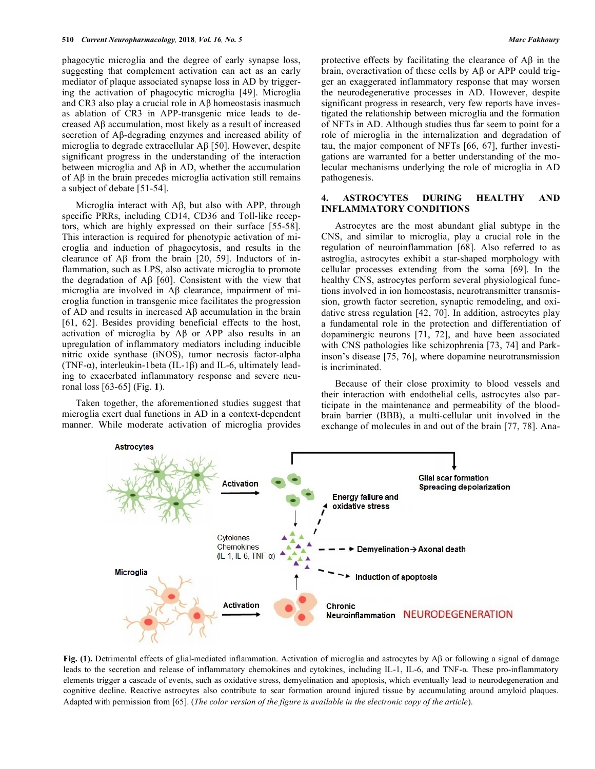phagocytic microglia and the degree of early synapse loss, suggesting that complement activation can act as an early mediator of plaque associated synapse loss in AD by triggering the activation of phagocytic microglia [49]. Microglia and CR3 also play a crucial role in Aβ homeostasis inasmuch as ablation of CR3 in APP-transgenic mice leads to decreased Aβ accumulation, most likely as a result of increased secretion of Aβ-degrading enzymes and increased ability of microglia to degrade extracellular Aβ [50]. However, despite significant progress in the understanding of the interaction between microglia and Aβ in AD, whether the accumulation of Aβ in the brain precedes microglia activation still remains a subject of debate [51-54].

Microglia interact with Aβ, but also with APP, through specific PRRs, including CD14, CD36 and Toll-like receptors, which are highly expressed on their surface [55-58]. This interaction is required for phenotypic activation of microglia and induction of phagocytosis, and results in the clearance of Aβ from the brain [20, 59]. Inductors of inflammation, such as LPS, also activate microglia to promote the degradation of Aβ [60]. Consistent with the view that microglia are involved in Aβ clearance, impairment of microglia function in transgenic mice facilitates the progression of AD and results in increased Aβ accumulation in the brain [61, 62]. Besides providing beneficial effects to the host, activation of microglia by Aβ or APP also results in an upregulation of inflammatory mediators including inducible nitric oxide synthase (iNOS), tumor necrosis factor-alpha (TNF- $\alpha$ ), interleukin-1beta (IL-1 $\beta$ ) and IL-6, ultimately leading to exacerbated inflammatory response and severe neuronal loss [63-65] (Fig. **1**).

Taken together, the aforementioned studies suggest that microglia exert dual functions in AD in a context-dependent manner. While moderate activation of microglia provides

protective effects by facilitating the clearance of  $\mathbf{A}\mathbf{\beta}$  in the brain, overactivation of these cells by Aβ or APP could trigger an exaggerated inflammatory response that may worsen the neurodegenerative processes in AD. However, despite significant progress in research, very few reports have investigated the relationship between microglia and the formation of NFTs in AD. Although studies thus far seem to point for a role of microglia in the internalization and degradation of tau, the major component of NFTs [66, 67], further investigations are warranted for a better understanding of the molecular mechanisms underlying the role of microglia in AD pathogenesis.

## **4. ASTROCYTES DURING HEALTHY AND INFLAMMATORY CONDITIONS**

Astrocytes are the most abundant glial subtype in the CNS, and similar to microglia, play a crucial role in the regulation of neuroinflammation [68]. Also referred to as astroglia, astrocytes exhibit a star-shaped morphology with cellular processes extending from the soma [69]. In the healthy CNS, astrocytes perform several physiological functions involved in ion homeostasis, neurotransmitter transmission, growth factor secretion, synaptic remodeling, and oxidative stress regulation [42, 70]. In addition, astrocytes play a fundamental role in the protection and differentiation of dopaminergic neurons [71, 72], and have been associated with CNS pathologies like schizophrenia [73, 74] and Parkinson's disease [75, 76], where dopamine neurotransmission is incriminated.

Because of their close proximity to blood vessels and their interaction with endothelial cells, astrocytes also participate in the maintenance and permeability of the bloodbrain barrier (BBB), a multi-cellular unit involved in the exchange of molecules in and out of the brain [77, 78]. Ana-



**Fig. (1).** Detrimental effects of glial-mediated inflammation. Activation of microglia and astrocytes by Aβ or following a signal of damage leads to the secretion and release of inflammatory chemokines and cytokines, including IL-1, IL-6, and TNF-α. These pro-inflammatory elements trigger a cascade of events, such as oxidative stress, demyelination and apoptosis, which eventually lead to neurodegeneration and cognitive decline. Reactive astrocytes also contribute to scar formation around injured tissue by accumulating around amyloid plaques. Adapted with permission from [65]. (*The color version of the figure is available in the electronic copy of the article*).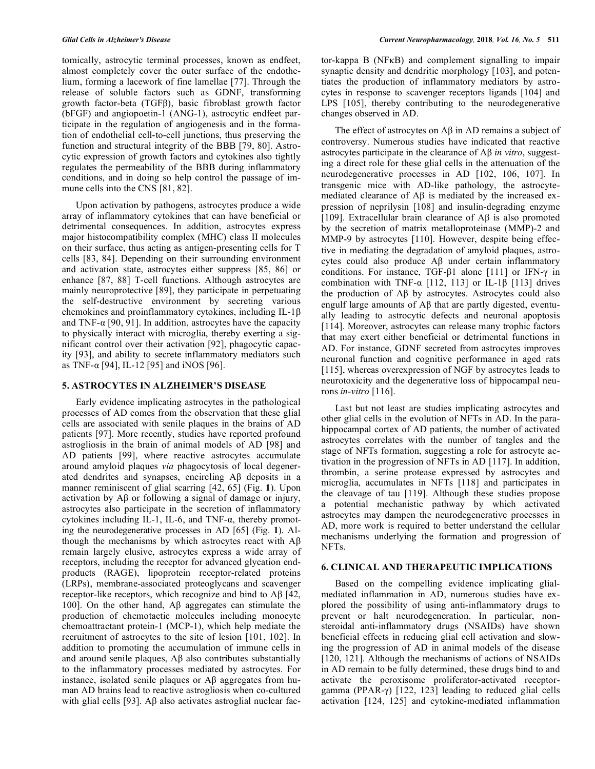tomically, astrocytic terminal processes, known as endfeet, almost completely cover the outer surface of the endothelium, forming a lacework of fine lamellae [77]. Through the release of soluble factors such as GDNF, transforming growth factor-beta (TGFβ), basic fibroblast growth factor (bFGF) and angiopoetin-1 (ANG-1), astrocytic endfeet participate in the regulation of angiogenesis and in the formation of endothelial cell-to-cell junctions, thus preserving the function and structural integrity of the BBB [79, 80]. Astrocytic expression of growth factors and cytokines also tightly regulates the permeability of the BBB during inflammatory conditions, and in doing so help control the passage of immune cells into the CNS [81, 82].

Upon activation by pathogens, astrocytes produce a wide array of inflammatory cytokines that can have beneficial or detrimental consequences. In addition, astrocytes express major histocompatibility complex (MHC) class II molecules on their surface, thus acting as antigen-presenting cells for T cells [83, 84]. Depending on their surrounding environment and activation state, astrocytes either suppress [85, 86] or enhance [87, 88] T-cell functions. Although astrocytes are mainly neuroprotective [89], they participate in perpetuating the self-destructive environment by secreting various chemokines and proinflammatory cytokines, including IL-1β and TNF- $\alpha$  [90, 91]. In addition, astrocytes have the capacity to physically interact with microglia, thereby exerting a significant control over their activation [92], phagocytic capacity [93], and ability to secrete inflammatory mediators such as TNF- $\alpha$  [94], IL-12 [95] and iNOS [96].

# **5. ASTROCYTES IN ALZHEIMER'S DISEASE**

Early evidence implicating astrocytes in the pathological processes of AD comes from the observation that these glial cells are associated with senile plaques in the brains of AD patients [97]. More recently, studies have reported profound astrogliosis in the brain of animal models of AD [98] and AD patients [99], where reactive astrocytes accumulate around amyloid plaques *via* phagocytosis of local degenerated dendrites and synapses, encircling Aβ deposits in a manner reminiscent of glial scarring [42, 65] (Fig. **1**). Upon activation by Aβ or following a signal of damage or injury, astrocytes also participate in the secretion of inflammatory cytokines including IL-1, IL-6, and TNF-α, thereby promoting the neurodegenerative processes in AD [65] (Fig. **1**). Although the mechanisms by which astrocytes react with Aβ remain largely elusive, astrocytes express a wide array of receptors, including the receptor for advanced glycation endproducts (RAGE), lipoprotein receptor-related proteins (LRPs), membrane-associated proteoglycans and scavenger receptor-like receptors, which recognize and bind to Aβ [42, 100]. On the other hand, Aβ aggregates can stimulate the production of chemotactic molecules including monocyte chemoattractant protein-1 (MCP-1), which help mediate the recruitment of astrocytes to the site of lesion [101, 102]. In addition to promoting the accumulation of immune cells in and around senile plaques,  $\mathbf{A}\beta$  also contributes substantially to the inflammatory processes mediated by astrocytes. For instance, isolated senile plaques or Aβ aggregates from human AD brains lead to reactive astrogliosis when co-cultured with glial cells [93]. A $\beta$  also activates astroglial nuclear factor-kappa B (NFκB) and complement signalling to impair synaptic density and dendritic morphology [103], and potentiates the production of inflammatory mediators by astrocytes in response to scavenger receptors ligands [104] and LPS [105], thereby contributing to the neurodegenerative changes observed in AD.

The effect of astrocytes on  $\overrightarrow{AB}$  in AD remains a subject of controversy. Numerous studies have indicated that reactive astrocytes participate in the clearance of Aβ *in vitro*, suggesting a direct role for these glial cells in the attenuation of the neurodegenerative processes in AD [102, 106, 107]. In transgenic mice with AD-like pathology, the astrocytemediated clearance of Aβ is mediated by the increased expression of neprilysin [108] and insulin-degrading enzyme [109]. Extracellular brain clearance of Aβ is also promoted by the secretion of matrix metalloproteinase (MMP)-2 and MMP-9 by astrocytes [110]. However, despite being effective in mediating the degradation of amyloid plaques, astrocytes could also produce Aβ under certain inflammatory conditions. For instance, TGF-β1 alone [111] or IFN-γ in combination with TNF- $\alpha$  [112, 113] or IL-1β [113] drives the production of Aβ by astrocytes. Astrocytes could also engulf large amounts of Aβ that are partly digested, eventually leading to astrocytic defects and neuronal apoptosis [114]. Moreover, astrocytes can release many trophic factors that may exert either beneficial or detrimental functions in AD. For instance, GDNF secreted from astrocytes improves neuronal function and cognitive performance in aged rats [115], whereas overexpression of NGF by astrocytes leads to neurotoxicity and the degenerative loss of hippocampal neurons *in-vitro* [116].

Last but not least are studies implicating astrocytes and other glial cells in the evolution of NFTs in AD. In the parahippocampal cortex of AD patients, the number of activated astrocytes correlates with the number of tangles and the stage of NFTs formation, suggesting a role for astrocyte activation in the progression of NFTs in AD [117]. In addition, thrombin, a serine protease expressed by astrocytes and microglia, accumulates in NFTs [118] and participates in the cleavage of tau [119]. Although these studies propose a potential mechanistic pathway by which activated astrocytes may dampen the neurodegenerative processes in AD, more work is required to better understand the cellular mechanisms underlying the formation and progression of NFTs.

# **6. CLINICAL AND THERAPEUTIC IMPLICATIONS**

Based on the compelling evidence implicating glialmediated inflammation in AD, numerous studies have explored the possibility of using anti-inflammatory drugs to prevent or halt neurodegeneration. In particular, nonsteroidal anti-inflammatory drugs (NSAIDs) have shown beneficial effects in reducing glial cell activation and slowing the progression of AD in animal models of the disease [120, 121]. Although the mechanisms of actions of NSAIDs in AD remain to be fully determined, these drugs bind to and activate the peroxisome proliferator-activated receptorgamma (PPAR-γ) [122, 123] leading to reduced glial cells activation [124, 125] and cytokine-mediated inflammation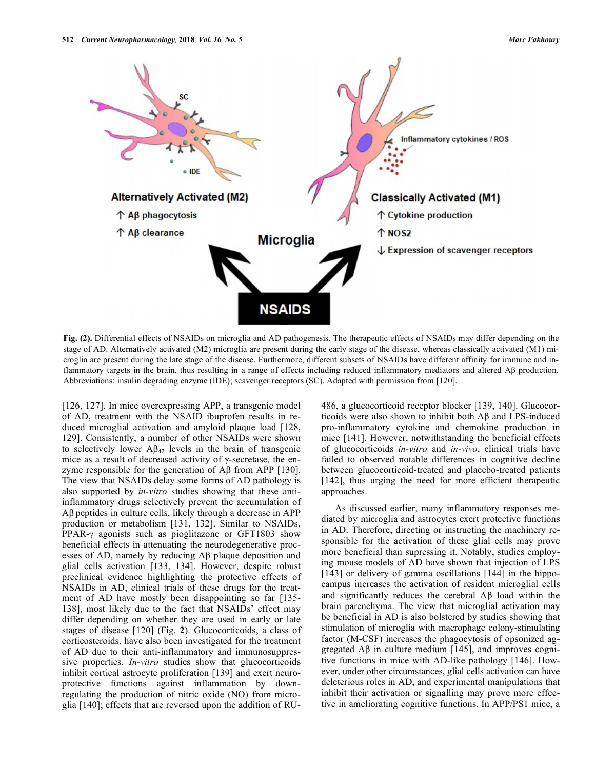

**Fig. (2).** Differential effects of NSAIDs on microglia and AD pathogenesis. The therapeutic effects of NSAIDs may differ depending on the stage of AD. Alternatively activated (M2) microglia are present during the early stage of the disease, whereas classically activated (M1) microglia are present during the late stage of the disease. Furthermore, different subsets of NSAIDs have different affinity for immune and inflammatory targets in the brain, thus resulting in a range of effects including reduced inflammatory mediators and altered Aβ production. Abbreviations: insulin degrading enzyme (IDE); scavenger receptors (SC). Adapted with permission from [120].

[126, 127]. In mice overexpressing APP, a transgenic model of AD, treatment with the NSAID ibuprofen results in reduced microglial activation and amyloid plaque load [128, 129]. Consistently, a number of other NSAIDs were shown to selectively lower  $\mathbf{A}\beta_{42}$  levels in the brain of transgenic mice as a result of decreased activity of γ-secretase, the enzyme responsible for the generation of Aβ from APP [130]. The view that NSAIDs delay some forms of AD pathology is also supported by *in-vitro* studies showing that these antiinflammatory drugs selectively prevent the accumulation of Aβ peptides in culture cells, likely through a decrease in APP production or metabolism [131, 132]. Similar to NSAIDs, PPAR-γ agonists such as pioglitazone or GFT1803 show beneficial effects in attenuating the neurodegenerative processes of AD, namely by reducing Aβ plaque deposition and glial cells activation [133, 134]. However, despite robust preclinical evidence highlighting the protective effects of NSAIDs in AD, clinical trials of these drugs for the treatment of AD have mostly been disappointing so far [135- 138], most likely due to the fact that NSAIDs' effect may differ depending on whether they are used in early or late stages of disease [120] (Fig. **2**). Glucocorticoids, a class of corticosteroids, have also been investigated for the treatment of AD due to their anti-inflammatory and immunosuppressive properties. *In-vitro* studies show that glucocorticoids inhibit cortical astrocyte proliferation [139] and exert neuroprotective functions against inflammation by downregulating the production of nitric oxide (NO) from microglia [140]; effects that are reversed upon the addition of RU- 486, a glucocorticoid receptor blocker [139, 140]. Glucocorticoids were also shown to inhibit both Aβ and LPS-induced pro-inflammatory cytokine and chemokine production in mice [141]. However, notwithstanding the beneficial effects of glucocorticoids *in-vitro* and *in-vivo*, clinical trials have failed to observed notable differences in cognitive decline between glucocorticoid-treated and placebo-treated patients [142], thus urging the need for more efficient therapeutic approaches.

As discussed earlier, many inflammatory responses mediated by microglia and astrocytes exert protective functions in AD. Therefore, directing or instructing the machinery responsible for the activation of these glial cells may prove more beneficial than supressing it. Notably, studies employing mouse models of AD have shown that injection of LPS [143] or delivery of gamma oscillations [144] in the hippocampus increases the activation of resident microglial cells and significantly reduces the cerebral Aβ load within the brain parenchyma. The view that microglial activation may be beneficial in AD is also bolstered by studies showing that stimulation of microglia with macrophage colony-stimulating factor (M-CSF) increases the phagocytosis of opsonized aggregated  $\text{A}\beta$  in culture medium [145], and improves cognitive functions in mice with AD-like pathology [146]. However, under other circumstances, glial cells activation can have deleterious roles in AD, and experimental manipulations that inhibit their activation or signalling may prove more effective in ameliorating cognitive functions. In APP/PS1 mice, a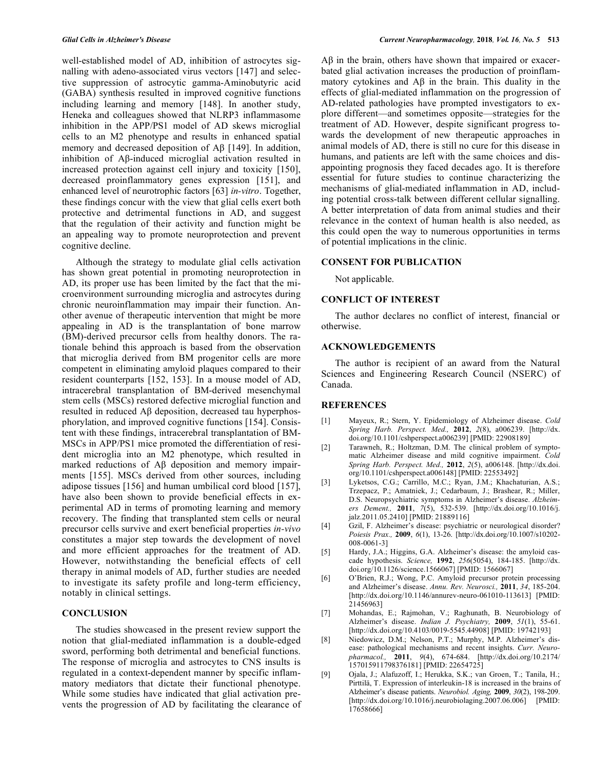well-established model of AD, inhibition of astrocytes signalling with adeno-associated virus vectors [147] and selective suppression of astrocytic gamma-Aminobutyric acid (GABA) synthesis resulted in improved cognitive functions including learning and memory [148]. In another study, Heneka and colleagues showed that NLRP3 inflammasome inhibition in the APP/PS1 model of AD skews microglial cells to an M2 phenotype and results in enhanced spatial memory and decreased deposition of Aβ [149]. In addition, inhibition of Aβ-induced microglial activation resulted in increased protection against cell injury and toxicity [150], decreased proinflammatory genes expression [151], and enhanced level of neurotrophic factors [63] *in-vitro*. Together, these findings concur with the view that glial cells exert both protective and detrimental functions in AD, and suggest that the regulation of their activity and function might be an appealing way to promote neuroprotection and prevent cognitive decline.

Although the strategy to modulate glial cells activation has shown great potential in promoting neuroprotection in AD, its proper use has been limited by the fact that the microenvironment surrounding microglia and astrocytes during chronic neuroinflammation may impair their function. Another avenue of therapeutic intervention that might be more appealing in AD is the transplantation of bone marrow (BM)-derived precursor cells from healthy donors. The rationale behind this approach is based from the observation that microglia derived from BM progenitor cells are more competent in eliminating amyloid plaques compared to their resident counterparts [152, 153]. In a mouse model of AD, intracerebral transplantation of BM-derived mesenchymal stem cells (MSCs) restored defective microglial function and resulted in reduced Aβ deposition, decreased tau hyperphosphorylation, and improved cognitive functions [154]. Consistent with these findings, intracerebral transplantation of BM-MSCs in APP/PS1 mice promoted the differentiation of resident microglia into an M2 phenotype, which resulted in marked reductions of Aβ deposition and memory impairments [155]. MSCs derived from other sources, including adipose tissues [156] and human umbilical cord blood [157], have also been shown to provide beneficial effects in experimental AD in terms of promoting learning and memory recovery. The finding that transplanted stem cells or neural precursor cells survive and exert beneficial properties *in-vivo* constitutes a major step towards the development of novel and more efficient approaches for the treatment of AD. However, notwithstanding the beneficial effects of cell therapy in animal models of AD, further studies are needed to investigate its safety profile and long-term efficiency, notably in clinical settings.

#### **CONCLUSION**

The studies showcased in the present review support the notion that glial-mediated inflammation is a double-edged sword, performing both detrimental and beneficial functions. The response of microglia and astrocytes to CNS insults is regulated in a context-dependent manner by specific inflammatory mediators that dictate their functional phenotype. While some studies have indicated that glial activation prevents the progression of AD by facilitating the clearance of Aβ in the brain, others have shown that impaired or exacerbated glial activation increases the production of proinflammatory cytokines and Aβ in the brain. This duality in the effects of glial-mediated inflammation on the progression of AD-related pathologies have prompted investigators to explore different—and sometimes opposite—strategies for the treatment of AD. However, despite significant progress towards the development of new therapeutic approaches in animal models of AD, there is still no cure for this disease in humans, and patients are left with the same choices and disappointing prognosis they faced decades ago. It is therefore essential for future studies to continue characterizing the mechanisms of glial-mediated inflammation in AD, including potential cross-talk between different cellular signalling. A better interpretation of data from animal studies and their relevance in the context of human health is also needed, as this could open the way to numerous opportunities in terms of potential implications in the clinic.

#### **CONSENT FOR PUBLICATION**

Not applicable.

#### **CONFLICT OF INTEREST**

The author declares no conflict of interest, financial or otherwise.

# **ACKNOWLEDGEMENTS**

The author is recipient of an award from the Natural Sciences and Engineering Research Council (NSERC) of Canada.

#### **REFERENCES**

- [1] Mayeux, R.; Stern, Y. Epidemiology of Alzheimer disease. *Cold Spring Harb. Perspect. Med.,* **2012**, *2*(8), a006239. [http://dx. doi.org/10.1101/cshperspect.a006239] [PMID: 22908189]
- [2] Tarawneh, R.; Holtzman, D.M. The clinical problem of symptomatic Alzheimer disease and mild cognitive impairment. *Cold Spring Harb. Perspect. Med.,* **2012**, *2*(5), a006148. [http://dx.doi. org/10.1101/cshperspect.a006148] [PMID: 22553492]
- [3] Lyketsos, C.G.; Carrillo, M.C.; Ryan, J.M.; Khachaturian, A.S.; Trzepacz, P.; Amatniek, J.; Cedarbaum, J.; Brashear, R.; Miller, D.S. Neuropsychiatric symptoms in Alzheimer's disease. *Alzheimers Dement.,* **2011**, *7*(5), 532-539. [http://dx.doi.org/10.1016/j. jalz.2011.05.2410] [PMID: 21889116]
- [4] Gzil, F. Alzheimer's disease: psychiatric or neurological disorder? *Poiesis Prax.,* **2009**, *6*(1), 13-26. [http://dx.doi.org/10.1007/s10202- 008-0061-3]
- [5] Hardy, J.A.; Higgins, G.A. Alzheimer's disease: the amyloid cascade hypothesis. *Science,* **1992**, *256*(5054), 184-185. [http://dx. doi.org/10.1126/science.1566067] [PMID: 1566067]
- [6] O'Brien, R.J.; Wong, P.C. Amyloid precursor protein processing and Alzheimer's disease. *Annu. Rev. Neurosci.,* **2011**, *34*, 185-204. [http://dx.doi.org/10.1146/annurev-neuro-061010-113613] [PMID: 21456963]
- [7] Mohandas, E.; Rajmohan, V.; Raghunath, B. Neurobiology of Alzheimer's disease. *Indian J. Psychiatry,* **2009**, *51*(1), 55-61. [http://dx.doi.org/10.4103/0019-5545.44908] [PMID: 19742193]
- [8] Niedowicz, D.M.; Nelson, P.T.; Murphy, M.P. Alzheimer's disease: pathological mechanisms and recent insights. *Curr. Neuropharmacol.,* **2011**, *9*(4), 674-684. [http://dx.doi.org/10.2174/ 157015911798376181] [PMID: 22654725]
- [9] Ojala, J.; Alafuzoff, I.; Herukka, S.K.; van Groen, T.; Tanila, H.; Pirttilä, T. Expression of interleukin-18 is increased in the brains of Alzheimer's disease patients. *Neurobiol. Aging,* **2009**, *30*(2), 198-209. [http://dx.doi.org/10.1016/j.neurobiolaging.2007.06.006] [PMID: 17658666]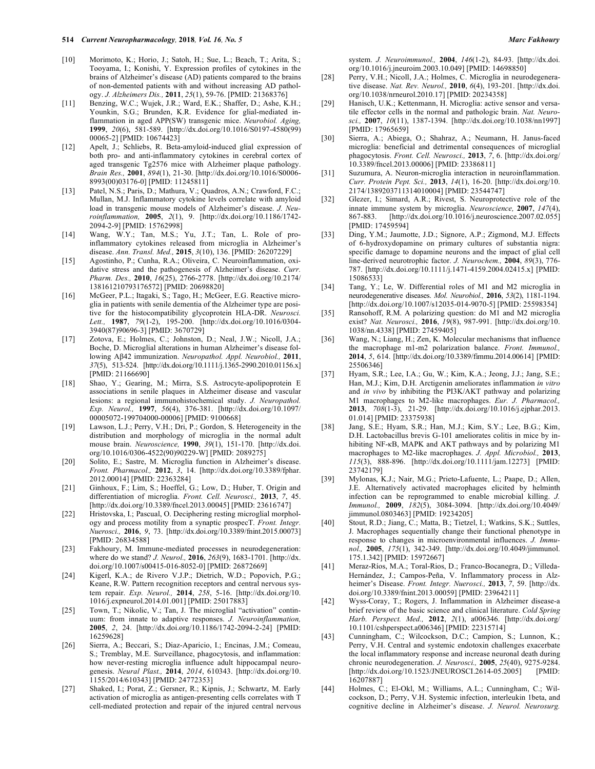- [10] Morimoto, K.; Horio, J.; Satoh, H.; Sue, L.; Beach, T.; Arita, S.; Tooyama, I.; Konishi, Y. Expression profiles of cytokines in the brains of Alzheimer's disease (AD) patients compared to the brains of non-demented patients with and without increasing AD pathology. *J. Alzheimers Dis.,* **2011**, *25*(1), 59-76. [PMID: 21368376]
- [11] Benzing, W.C.; Wujek, J.R.; Ward, E.K.; Shaffer, D.; Ashe, K.H.; Younkin, S.G.; Brunden, K.R. Evidence for glial-mediated inflammation in aged APP(SW) transgenic mice. *Neurobiol. Aging,*  **1999**, *20*(6), 581-589. [http://dx.doi.org/10.1016/S0197-4580(99) 00065-2] [PMID: 10674423]
- [12] Apelt, J.; Schliebs, R. Beta-amyloid-induced glial expression of both pro- and anti-inflammatory cytokines in cerebral cortex of aged transgenic Tg2576 mice with Alzheimer plaque pathology. *Brain Res.,* **2001**, *894*(1), 21-30. [http://dx.doi.org/10.1016/S0006- 8993(00)03176-0] [PMID: 11245811]
- [13] Patel, N.S.; Paris, D.; Mathura, V.; Quadros, A.N.; Crawford, F.C.; Mullan, M.J. Inflammatory cytokine levels correlate with amyloid load in transgenic mouse models of Alzheimer's disease. *J. Neuroinflammation,* **2005**, *2*(1), 9. [http://dx.doi.org/10.1186/1742- 2094-2-9] [PMID: 15762998]
- [14] Wang, W.Y.; Tan, M.S.; Yu, J.T.; Tan, L. Role of proinflammatory cytokines released from microglia in Alzheimer's disease. *Ann. Transl. Med.,* **2015**, *3*(10), 136. [PMID: 26207229]
- [15] Agostinho, P.; Cunha, R.A.; Oliveira, C. Neuroinflammation, oxidative stress and the pathogenesis of Alzheimer's disease. *Curr. Pharm. Des.,* **2010**, *16*(25), 2766-2778. [http://dx.doi.org/10.2174/ 138161210793176572] [PMID: 20698820]
- [16] McGeer, P.L.; Itagaki, S.; Tago, H.; McGeer, E.G. Reactive microglia in patients with senile dementia of the Alzheimer type are positive for the histocompatibility glycoprotein HLA-DR. *Neurosci. Lett.,* **1987**, *79*(1-2), 195-200. [http://dx.doi.org/10.1016/0304- 3940(87)90696-3] [PMID: 3670729]
- [17] Zotova, E.; Holmes, C.; Johnston, D.; Neal, J.W.; Nicoll, J.A.; Boche, D. Microglial alterations in human Alzheimer's disease following Aβ42 immunization. *Neuropathol. Appl. Neurobiol.,* **2011**, *37*(5), 513-524. [http://dx.doi.org/10.1111/j.1365-2990.2010.01156.x] [PMID: 21166690]
- [18] Shao, Y.; Gearing, M.; Mirra, S.S. Astrocyte-apolipoprotein E associations in senile plaques in Alzheimer disease and vascular lesions: a regional immunohistochemical study. *J. Neuropathol. Exp. Neurol.,* **1997**, *56*(4), 376-381. [http://dx.doi.org/10.1097/ 00005072-199704000-00006] [PMID: 9100668]
- [19] Lawson, L.J.; Perry, V.H.; Dri, P.; Gordon, S. Heterogeneity in the distribution and morphology of microglia in the normal adult mouse brain. *Neuroscience,* **1990**, *39*(1), 151-170. [http://dx.doi. org/10.1016/0306-4522(90)90229-W] [PMID: 2089275]
- [20] Solito, E.; Sastre, M. Microglia function in Alzheimer's disease. *Front. Pharmacol.,* **2012**, *3*, 14. [http://dx.doi.org/10.3389/fphar. 2012.00014] [PMID: 22363284]
- [21] Ginhoux, F.; Lim, S.; Hoeffel, G.; Low, D.; Huber, T. Origin and differentiation of microglia. *Front. Cell. Neurosci.,* **2013**, *7*, 45. [http://dx.doi.org/10.3389/fncel.2013.00045] [PMID: 23616747]
- [22] Hristovska, I.; Pascual, O. Deciphering resting microglial morphology and process motility from a synaptic prospecT. *Front. Integr. Nuerosci.,* **2016**, *9*, 73. [http://dx.doi.org/10.3389/fnint.2015.00073] [PMID: 26834588]
- [23] Fakhoury, M. Immune-mediated processes in neurodegeneration: where do we stand? *J. Neurol.,* **2016**, *263*(9), 1683-1701. [http://dx. doi.org/10.1007/s00415-016-8052-0] [PMID: 26872669]
- [24] Kigerl, K.A.; de Rivero V.J.P.; Dietrich, W.D.; Popovich, P.G.; Keane, R.W. Pattern recognition receptors and central nervous system repair. *Exp. Neurol.,* **2014**, *258*, 5-16. [http://dx.doi.org/10. 1016/j.expneurol.2014.01.001] [PMID: 25017883]
- [25] Town, T.; Nikolic, V.; Tan, J. The microglial "activation" continuum: from innate to adaptive responses. *J. Neuroinflammation,*  **2005**, *2*, 24. [http://dx.doi.org/10.1186/1742-2094-2-24] [PMID: 16259628]
- [26] Sierra, A.; Beccari, S.; Diaz-Aparicio, I.; Encinas, J.M.; Comeau, S.; Tremblay, M.E. Surveillance, phagocytosis, and inflammation: how never-resting microglia influence adult hippocampal neurogenesis. *Neural Plast.,* **2014**, *2014*, 610343. [http://dx.doi.org/10. 1155/2014/610343] [PMID: 24772353]
- [27] Shaked, I.; Porat, Z.; Gersner, R.; Kipnis, J.; Schwartz, M. Early activation of microglia as antigen-presenting cells correlates with T cell-mediated protection and repair of the injured central nervous

system. *J. Neuroimmunol.,* **2004**, *146*(1-2), 84-93. [http://dx.doi. org/10.1016/j.jneuroim.2003.10.049] [PMID: 14698850]

- [28] Perry, V.H.; Nicoll, J.A.; Holmes, C. Microglia in neurodegenerative disease. *Nat. Rev. Neurol.,* **2010**, *6*(4), 193-201. [http://dx.doi. org/10.1038/nrneurol.2010.17] [PMID: 20234358]
- [29] Hanisch, U.K.; Kettenmann, H. Microglia: active sensor and versatile effector cells in the normal and pathologic brain. *Nat. Neurosci.,* **2007**, *10*(11), 1387-1394. [http://dx.doi.org/10.1038/nn1997] [PMID: 17965659]
- [30] Sierra, A.; Abiega, O.; Shahraz, A.; Neumann, H. Janus-faced microglia: beneficial and detrimental consequences of microglial phagocytosis. *Front. Cell. Neurosci.,* **2013**, *7*, 6. [http://dx.doi.org/ 10.3389/fncel.2013.00006] [PMID: 23386811]
- [31] Suzumura, A. Neuron-microglia interaction in neuroinflammation. *Curr. Protein Pept. Sci.,* **2013**, *14*(1), 16-20. [http://dx.doi.org/10. 2174/1389203711314010004] [PMID: 23544747]
- [32] Glezer, I.; Simard, A.R.; Rivest, S. Neuroprotective role of the innate immune system by microglia. *Neuroscience,* **2007**, *147*(4), 867-883. [http://dx.doi.org/10.1016/j.neuroscience.2007.02.055] [PMID: 17459594]
- [33] Ding, Y.M.; Jaumotte, J.D.; Signore, A.P.; Zigmond, M.J. Effects of 6-hydroxydopamine on primary cultures of substantia nigra: specific damage to dopamine neurons and the impact of glial cell line-derived neurotrophic factor. *J. Neurochem.,* **2004**, *89*(3), 776- 787. [http://dx.doi.org/10.1111/j.1471-4159.2004.02415.x] [PMID: 15086533]
- [34] Tang, Y.; Le, W. Differential roles of M1 and M2 microglia in neurodegenerative diseases. *Mol. Neurobiol.,* **2016**, *53*(2), 1181-1194. [http://dx.doi.org/10.1007/s12035-014-9070-5] [PMID: 25598354]
- [35] Ransohoff, R.M. A polarizing question: do M1 and M2 microglia exist? *Nat. Neurosci.,* **2016**, *19*(8), 987-991. [http://dx.doi.org/10. 1038/nn.4338] [PMID: 27459405]
- [36] Wang, N.; Liang, H.; Zen, K. Molecular mechanisms that influence the macrophage m1-m2 polarization balance. *Front. Immunol.,*  **2014**, *5*, 614. [http://dx.doi.org/10.3389/fimmu.2014.00614] [PMID: 25506346]
- [37] Hyam, S.R.; Lee, I.A.; Gu, W.; Kim, K.A.; Jeong, J.J.; Jang, S.E.; Han, M.J.; Kim, D.H. Arctigenin ameliorates inflammation *in vitro* and *in vivo* by inhibiting the PI3K/AKT pathway and polarizing M1 macrophages to M2-like macrophages. *Eur. J. Pharmacol.,*  **2013**, *708*(1-3), 21-29. [http://dx.doi.org/10.1016/j.ejphar.2013. 01.014] [PMID: 23375938]
- [38] Jang, S.E.; Hyam, S.R.; Han, M.J.; Kim, S.Y.; Lee, B.G.; Kim, D.H. Lactobacillus brevis G-101 ameliorates colitis in mice by inhibiting NF-κB, MAPK and AKT pathways and by polarizing M1 macrophages to M2-like macrophages. *J. Appl. Microbiol.,* **2013**, *115*(3), 888-896. [http://dx.doi.org/10.1111/jam.12273] [PMID: 23742179]
- [39] Mylonas, K.J.; Nair, M.G.; Prieto-Lafuente, L.; Paape, D.; Allen, J.E. Alternatively activated macrophages elicited by helminth infection can be reprogrammed to enable microbial killing. *J. Immunol.,* **2009**, *182*(5), 3084-3094. [http://dx.doi.org/10.4049/ jimmunol.0803463] [PMID: 19234205]
- [40] Stout, R.D.; Jiang, C.; Matta, B.; Tietzel, I.; Watkins, S.K.; Suttles, J. Macrophages sequentially change their functional phenotype in response to changes in microenvironmental influences. *J. Immunol.,* **2005**, *175*(1), 342-349. [http://dx.doi.org/10.4049/jimmunol. 175.1.342] [PMID: 15972667]
- [41] Meraz-Ríos, M.A.; Toral-Rios, D.; Franco-Bocanegra, D.; Villeda-Hernández, J.; Campos-Peña, V. Inflammatory process in Alzheimer's Disease. *Front. Integr. Nuerosci.,* **2013**, *7*, 59. [http://dx. doi.org/10.3389/fnint.2013.00059] [PMID: 23964211]
- [42] Wyss-Coray, T.; Rogers, J. Inflammation in Alzheimer disease-a brief review of the basic science and clinical literature. *Cold Spring Harb. Perspect. Med.,* **2012**, *2*(1), a006346. [http://dx.doi.org/ 10.1101/cshperspect.a006346] [PMID: 22315714]
- [43] Cunningham, C.; Wilcockson, D.C.; Campion, S.; Lunnon, K.; Perry, V.H. Central and systemic endotoxin challenges exacerbate the local inflammatory response and increase neuronal death during chronic neurodegeneration. *J. Neurosci.,* **2005**, *25*(40), 9275-9284. [http://dx.doi.org/10.1523/JNEUROSCI.2614-05.2005] [PMID: 16207887]
- [44] Holmes, C.; El-Okl, M.; Williams, A.L.; Cunningham, C.; Wilcockson, D.; Perry, V.H. Systemic infection, interleukin 1beta, and cognitive decline in Alzheimer's disease. *J. Neurol. Neurosurg.*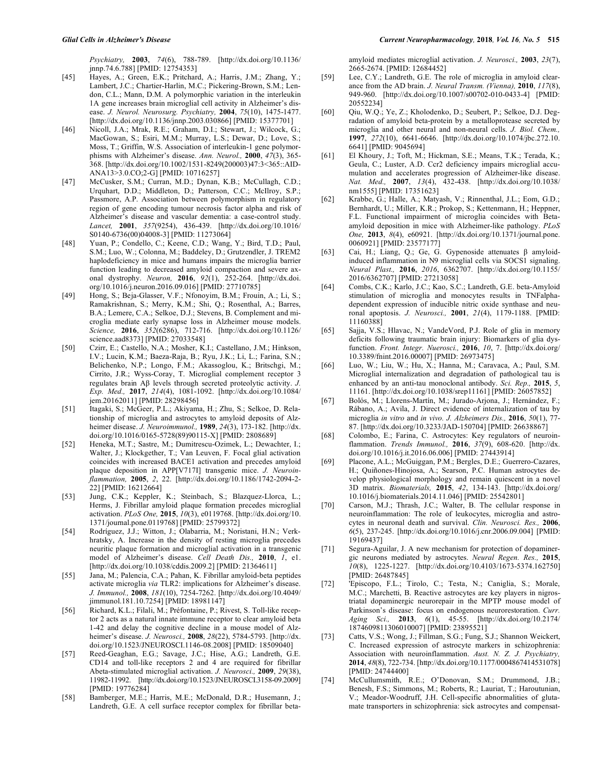*Psychiatry,* **2003**, *74*(6), 788-789. [http://dx.doi.org/10.1136/ jnnp.74.6.788] [PMID: 12754353]

- [45] Hayes, A.; Green, E.K.; Pritchard, A.; Harris, J.M.; Zhang, Y.; Lambert, J.C.; Chartier-Harlin, M.C.; Pickering-Brown, S.M.; Lendon, C.L.; Mann, D.M. A polymorphic variation in the interleukin 1A gene increases brain microglial cell activity in Alzheimer's disease. *J. Neurol. Neurosurg. Psychiatry,* **2004**, *75*(10), 1475-1477. [http://dx.doi.org/10.1136/jnnp.2003.030866] [PMID: 15377701]
- [46] Nicoll, J.A.; Mrak, R.E.; Graham, D.I.; Stewart, J.; Wilcock, G.; MacGowan, S.; Esiri, M.M.; Murray, L.S.; Dewar, D.; Love, S.; Moss, T.; Griffin, W.S. Association of interleukin-1 gene polymorphisms with Alzheimer's disease. *Ann. Neurol.,* **2000**, *47*(3), 365- 368. [http://dx.doi.org/10.1002/1531-8249(200003)47:3<365::AID-ANA13>3.0.CO;2-G] [PMID: 10716257]
- [47] McCusker, S.M.; Curran, M.D.; Dynan, K.B.; McCullagh, C.D.; Urquhart, D.D.; Middleton, D.; Patterson, C.C.; McIlroy, S.P.; Passmore, A.P. Association between polymorphism in regulatory region of gene encoding tumour necrosis factor alpha and risk of Alzheimer's disease and vascular dementia: a case-control study. *Lancet,* **2001**, *357*(9254), 436-439. [http://dx.doi.org/10.1016/ S0140-6736(00)04008-3] [PMID: 11273064]
- [48] Yuan, P.; Condello, C.; Keene, C.D.; Wang, Y.; Bird, T.D.; Paul, S.M.; Luo, W.; Colonna, M.; Baddeley, D.; Grutzendler, J. TREM2 haplodeficiency in mice and humans impairs the microglia barrier function leading to decreased amyloid compaction and severe axonal dystrophy. *Neuron,* **2016**, *92*(1), 252-264. [http://dx.doi. org/10.1016/j.neuron.2016.09.016] [PMID: 27710785]
- [49] Hong, S.; Beja-Glasser, V.F.; Nfonoyim, B.M.; Frouin, A.; Li, S.; Ramakrishnan, S.; Merry, K.M.; Shi, Q.; Rosenthal, A.; Barres, B.A.; Lemere, C.A.; Selkoe, D.J.; Stevens, B. Complement and microglia mediate early synapse loss in Alzheimer mouse models. *Science,* **2016**, *352*(6286), 712-716. [http://dx.doi.org/10.1126/ science.aad8373] [PMID: 27033548]
- [50] Czirr, E.; Castello, N.A.; Mosher, K.I.; Castellano, J.M.; Hinkson, I.V.; Lucin, K.M.; Baeza-Raja, B.; Ryu, J.K.; Li, L.; Farina, S.N.; Belichenko, N.P.; Longo, F.M.; Akassoglou, K.; Britschgi, M.; Cirrito, J.R.; Wyss-Coray, T. Microglial complement receptor 3 regulates brain Aβ levels through secreted proteolytic activity. *J. Exp. Med.,* **2017**, *214*(4), 1081-1092. [http://dx.doi.org/10.1084/ jem.20162011] [PMID: 28298456]
- [51] Itagaki, S.; McGeer, P.L.; Akiyama, H.; Zhu, S.; Selkoe, D. Relationship of microglia and astrocytes to amyloid deposits of Alzheimer disease. *J. Neuroimmunol.,* **1989**, *24*(3), 173-182. [http://dx. doi.org/10.1016/0165-5728(89)90115-X] [PMID: 2808689]
- [52] Heneka, M.T.; Sastre, M.; Dumitrescu-Ozimek, L.; Dewachter, I.; Walter, J.; Klockgether, T.; Van Leuven, F. Focal glial activation coincides with increased BACE1 activation and precedes amyloid plaque deposition in APP[V717I] transgenic mice. *J. Neuroinflammation,* **2005**, *2*, 22. [http://dx.doi.org/10.1186/1742-2094-2- 22] [PMID: 16212664]
- [53] Jung, C.K.; Keppler, K.; Steinbach, S.; Blazquez-Llorca, L.; Herms, J. Fibrillar amyloid plaque formation precedes microglial activation. *PLoS One,* **2015**, *10*(3), e0119768. [http://dx.doi.org/10. 1371/journal.pone.0119768] [PMID: 25799372]
- [54] Rodríguez, J.J.; Witton, J.; Olabarria, M.; Noristani, H.N.; Verkhratsky, A. Increase in the density of resting microglia precedes neuritic plaque formation and microglial activation in a transgenic model of Alzheimer's disease. *Cell Death Dis.,* **2010**, *1*, e1. [http://dx.doi.org/10.1038/cddis.2009.2] [PMID: 21364611]
- [55] Jana, M.; Palencia, C.A.; Pahan, K. Fibrillar amyloid-beta peptides activate microglia *via* TLR2: implications for Alzheimer's disease. *J. Immunol.,* **2008**, *181*(10), 7254-7262. [http://dx.doi.org/10.4049/ jimmunol.181.10.7254] [PMID: 18981147]
- [56] Richard, K.L.; Filali, M.; Préfontaine, P.; Rivest, S. Toll-like receptor 2 acts as a natural innate immune receptor to clear amyloid beta 1-42 and delay the cognitive decline in a mouse model of Alzheimer's disease. *J. Neurosci.,* **2008**, *28*(22), 5784-5793. [http://dx. doi.org/10.1523/JNEUROSCI.1146-08.2008] [PMID: 18509040]
- [57] Reed-Geaghan, E.G.; Savage, J.C.; Hise, A.G.; Landreth, G.E. CD14 and toll-like receptors 2 and 4 are required for fibrillar Abeta-stimulated microglial activation. *J. Neurosci.,* **2009**, *29*(38), 11982-11992. [http://dx.doi.org/10.1523/JNEUROSCI.3158-09.2009] [PMID: 19776284]
- [58] Bamberger, M.E.; Harris, M.E.; McDonald, D.R.; Husemann, J.; Landreth, G.E. A cell surface receptor complex for fibrillar beta-

amyloid mediates microglial activation. *J. Neurosci.,* **2003**, *23*(7), 2665-2674. [PMID: 12684452]

- [59] Lee, C.Y.; Landreth, G.E. The role of microglia in amyloid clearance from the AD brain. *J. Neural Transm. (Vienna),* **2010**, *117*(8), 949-960. [http://dx.doi.org/10.1007/s00702-010-0433-4] [PMID: 20552234]
- [60] Qiu, W.Q.; Ye, Z.; Kholodenko, D.; Seubert, P.; Selkoe, D.J. Degradation of amyloid beta-protein by a metalloprotease secreted by microglia and other neural and non-neural cells. *J. Biol. Chem.,*  **1997**, *272*(10), 6641-6646. [http://dx.doi.org/10.1074/jbc.272.10. 6641] [PMID: 9045694]
- [61] El Khoury, J.; Toft, M.; Hickman, S.E.; Means, T.K.; Terada, K.; Geula, C.; Luster, A.D. Ccr2 deficiency impairs microglial accumulation and accelerates progression of Alzheimer-like disease. *Nat. Med.,* **2007**, *13*(4), 432-438. [http://dx.doi.org/10.1038/ nm1555] [PMID: 17351623]
- [62] Krabbe, G.; Halle, A.; Matyash, V.; Rinnenthal, J.L.; Eom, G.D.; Bernhardt, U.; Miller, K.R.; Prokop, S.; Kettenmann, H.; Heppner, F.L. Functional impairment of microglia coincides with Betaamyloid deposition in mice with Alzheimer-like pathology. *PLoS One,* **2013**, *8*(4), e60921. [http://dx.doi.org/10.1371/journal.pone. 0060921] [PMID: 23577177]
- [63] Cai, H.; Liang, Q.; Ge, G. Gypenoside attenuates β amyloidinduced inflammation in N9 microglial cells via SOCS1 signaling. *Neural Plast.,* **2016**, *2016*, 6362707. [http://dx.doi.org/10.1155/ 2016/6362707] [PMID: 27213058]
- [64] Combs, C.K.; Karlo, J.C.; Kao, S.C.; Landreth, G.E. beta-Amyloid stimulation of microglia and monocytes results in TNFalphadependent expression of inducible nitric oxide synthase and neuronal apoptosis. *J. Neurosci.,* **2001**, *21*(4), 1179-1188. [PMID: 11160388]
- [65] Sajja, V.S.; Hlavac, N.; VandeVord, P.J. Role of glia in memory deficits following traumatic brain injury: Biomarkers of glia dysfunction. *Front. Integr. Nuerosci.,* **2016**, *10*, 7. [http://dx.doi.org/ 10.3389/fnint.2016.00007] [PMID: 26973475]
- [66] Luo, W.; Liu, W.; Hu, X.; Hanna, M.; Caravaca, A.; Paul, S.M. Microglial internalization and degradation of pathological tau is enhanced by an anti-tau monoclonal antibody. *Sci. Rep.,* **2015**, *5*, 11161. [http://dx.doi.org/10.1038/srep11161] [PMID: 26057852]
- [67] Bolós, M.; Llorens-Martín, M.; Jurado-Arjona, J.; Hernández, F.; Rábano, A.; Avila, J. Direct evidence of internalization of tau by microglia *in vitro* and *in vivo. J. Alzheimers Dis.,* **2016**, *50*(1), 77- 87. [http://dx.doi.org/10.3233/JAD-150704] [PMID: 26638867]
- [68] Colombo, E.; Farina, C. Astrocytes: Key regulators of neuroinflammation. *Trends Immunol.,* **2016**, *37*(9), 608-620. [http://dx. doi.org/10.1016/j.it.2016.06.006] [PMID: 27443914]
- [69] Placone, A.L.; McGuiggan, P.M.; Bergles, D.E.; Guerrero-Cazares, H.; Quiñones-Hinojosa, A.; Searson, P.C. Human astrocytes develop physiological morphology and remain quiescent in a novel 3D matrix. *Biomaterials,* **2015**, *42*, 134-143. [http://dx.doi.org/ 10.1016/j.biomaterials.2014.11.046] [PMID: 25542801]
- [70] Carson, M.J.; Thrash, J.C.; Walter, B. The cellular response in neuroinflammation: The role of leukocytes, microglia and astrocytes in neuronal death and survival. *Clin. Neurosci. Res.,* **2006**, *6*(5), 237-245. [http://dx.doi.org/10.1016/j.cnr.2006.09.004] [PMID: 19169437]
- [71] Segura-Aguilar, J. A new mechanism for protection of dopaminergic neurons mediated by astrocytes. *Neural Regen. Res.,* **2015**, *10*(8), 1225-1227. [http://dx.doi.org/10.4103/1673-5374.162750] [PMID: 26487845]
- [72] 'Episcopo, F.L.; Tirolo, C.; Testa, N.; Caniglia, S.; Morale, M.C.; Marchetti, B. Reactive astrocytes are key players in nigrostriatal dopaminergic neurorepair in the MPTP mouse model of Parkinson's disease: focus on endogenous neurorestoration. *Curr. Aging Sci.,* **2013**, *6*(1), 45-55. [http://dx.doi.org/10.2174/ 1874609811306010007] [PMID: 23895521]
- [73] Catts, V.S.; Wong, J.; Fillman, S.G.; Fung, S.J.; Shannon Weickert, C. Increased expression of astrocyte markers in schizophrenia: Association with neuroinflammation. *Aust. N. Z. J. Psychiatry,*  **2014**, *48*(8), 722-734. [http://dx.doi.org/10.1177/0004867414531078] [PMID: 24744400]
- [74] McCullumsmith, R.E.; O'Donovan, S.M.; Drummond, J.B.; Benesh, F.S.; Simmons, M.; Roberts, R.; Lauriat, T.; Haroutunian, V.; Meador-Woodruff, J.H. Cell-specific abnormalities of glutamate transporters in schizophrenia: sick astrocytes and compensat-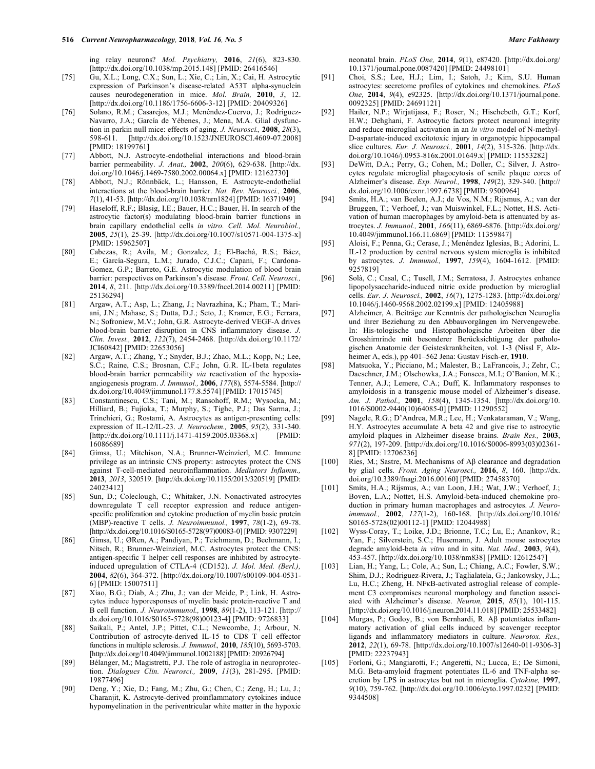ing relay neurons? *Mol. Psychiatry,* **2016**, *21*(6), 823-830. [http://dx.doi.org/10.1038/mp.2015.148] [PMID: 26416546]

- [75] Gu, X.L.; Long, C.X.; Sun, L.; Xie, C.; Lin, X.; Cai, H. Astrocytic expression of Parkinson's disease-related A53T alpha-synuclein causes neurodegeneration in mice. *Mol. Brain,* **2010**, *3*, 12. [http://dx.doi.org/10.1186/1756-6606-3-12] [PMID: 20409326]
- [76] Solano, R.M.; Casarejos, M.J.; Menéndez-Cuervo, J.; Rodriguez-Navarro, J.A.; García de Yébenes, J.; Mena, M.A. Glial dysfunction in parkin null mice: effects of aging. *J. Neurosci.,* **2008**, *28*(3), 598-611. [http://dx.doi.org/10.1523/JNEUROSCI.4609-07.2008] [PMID: 18199761]
- [77] Abbott, N.J. Astrocyte-endothelial interactions and blood-brain barrier permeability. *J. Anat.,* **2002**, *200*(6), 629-638. [http://dx. doi.org/10.1046/j.1469-7580.2002.00064.x] [PMID: 12162730]
- [78] Abbott, N.J.; Rönnbäck, L.; Hansson, E. Astrocyte-endothelial interactions at the blood-brain barrier. *Nat. Rev. Neurosci.,* **2006**, *7*(1), 41-53. [http://dx.doi.org/10.1038/nrn1824] [PMID: 16371949]
- [79] Haseloff, R.F.; Blasig, I.E.; Bauer, H.C.; Bauer, H. In search of the astrocytic factor(s) modulating blood-brain barrier functions in brain capillary endothelial cells *in vitro. Cell. Mol. Neurobiol.,*  **2005**, *25*(1), 25-39. [http://dx.doi.org/10.1007/s10571-004-1375-x] [PMID: 15962507]
- [80] Cabezas, R.; Avila, M.; Gonzalez, J.; El-Bachá, R.S.; Báez, E.; García-Segura, L.M.; Jurado, C.J.C.; Capani, F.; Cardona-Gomez, G.P.; Barreto, G.E. Astrocytic modulation of blood brain barrier: perspectives on Parkinson's disease. *Front. Cell. Neurosci.,*  **2014**, *8*, 211. [http://dx.doi.org/10.3389/fncel.2014.00211] [PMID: 25136294]
- [81] Argaw, A.T.; Asp, L.; Zhang, J.; Navrazhina, K.; Pham, T.; Mariani, J.N.; Mahase, S.; Dutta, D.J.; Seto, J.; Kramer, E.G.; Ferrara, N.; Sofroniew, M.V.; John, G.R. Astrocyte-derived VEGF-A drives blood-brain barrier disruption in CNS inflammatory disease. *J. Clin. Invest.,* **2012**, *122*(7), 2454-2468. [http://dx.doi.org/10.1172/ JCI60842] [PMID: 22653056]
- [82] Argaw, A.T.; Zhang, Y.; Snyder, B.J.; Zhao, M.L.; Kopp, N.; Lee, S.C.; Raine, C.S.; Brosnan, C.F.; John, G.R. IL-1beta regulates blood-brain barrier permeability *via* reactivation of the hypoxiaangiogenesis program. *J. Immunol.,* **2006**, *177*(8), 5574-5584. [http:// dx.doi.org/10.4049/jimmunol.177.8.5574] [PMID: 17015745]
- [83] Constantinescu, C.S.; Tani, M.; Ransohoff, R.M.; Wysocka, M.; Hilliard, B.; Fujioka, T.; Murphy, S.; Tighe, P.J.; Das Sarma, J.; Trinchieri, G.; Rostami, A. Astrocytes as antigen-presenting cells: expression of IL-12/IL-23. *J. Neurochem.,* **2005**, *95*(2), 331-340. [http://dx.doi.org/10.1111/j.1471-4159.2005.03368.x] [PMID: 16086689]
- [84] Gimsa, U.; Mitchison, N.A.; Brunner-Weinzierl, M.C. Immune privilege as an intrinsic CNS property: astrocytes protect the CNS against T-cell-mediated neuroinflammation. *Mediators Inflamm.,*  **2013**, *2013*, 320519. [http://dx.doi.org/10.1155/2013/320519] [PMID: 24023412]
- [85] Sun, D.; Coleclough, C.; Whitaker, J.N. Nonactivated astrocytes downregulate T cell receptor expression and reduce antigenspecific proliferation and cytokine production of myelin basic protein (MBP)-reactive T cells. *J. Neuroimmunol.,* **1997**, *78*(1-2), 69-78. [http://dx.doi.org/10.1016/S0165-5728(97)00083-0] [PMID: 9307229]
- [86] Gimsa, U.; ØRen, A.; Pandiyan, P.; Teichmann, D.; Bechmann, I.; Nitsch, R.; Brunner-Weinzierl, M.C. Astrocytes protect the CNS: antigen-specific T helper cell responses are inhibited by astrocyteinduced upregulation of CTLA-4 (CD152). *J. Mol. Med. (Berl.),*  **2004**, *82*(6), 364-372. [http://dx.doi.org/10.1007/s00109-004-0531- 6] [PMID: 15007511]
- [87] Xiao, B.G.; Diab, A.; Zhu, J.; van der Meide, P.; Link, H. Astrocytes induce hyporesponses of myelin basic protein-reactive T and B cell function. *J. Neuroimmunol.,* **1998**, *89*(1-2), 113-121. [http:// dx.doi.org/10.1016/S0165-5728(98)00123-4] [PMID: 9726833]
- [88] Saikali, P.; Antel, J.P.; Pittet, C.L.; Newcombe, J.; Arbour, N. Contribution of astrocyte-derived IL-15 to CD8 T cell effector functions in multiple sclerosis. *J. Immunol.,* **2010**, *185*(10), 5693-5703. [http://dx.doi.org/10.4049/jimmunol.1002188] [PMID: 20926794]
- [89] Bélanger, M.; Magistretti, P.J. The role of astroglia in neuroprotection. *Dialogues Clin. Neurosci.,* **2009**, *11*(3), 281-295. [PMID: 19877496]
- [90] Deng, Y.; Xie, D.; Fang, M.; Zhu, G.; Chen, C.; Zeng, H.; Lu, J.; Charanjit, K. Astrocyte-derived proinflammatory cytokines induce hypomyelination in the periventricular white matter in the hypoxic

neonatal brain. *PLoS One,* **2014**, *9*(1), e87420. [http://dx.doi.org/ 10.1371/journal.pone.0087420] [PMID: 24498101]

- [91] Choi, S.S.; Lee, H.J.; Lim, I.; Satoh, J.; Kim, S.U. Human astrocytes: secretome profiles of cytokines and chemokines. *PLoS One,* **2014**, *9*(4), e92325. [http://dx.doi.org/10.1371/journal.pone. 0092325] [PMID: 24691121]
- [92] Hailer, N.P.; Wirjatijasa, F.; Roser, N.; Hischebeth, G.T.; Korf, H.W.; Dehghani, F. Astrocytic factors protect neuronal integrity and reduce microglial activation in an *in vitro* model of N-methyl-D-aspartate-induced excitotoxic injury in organotypic hippocampal slice cultures. *Eur. J. Neurosci.,* **2001**, *14*(2), 315-326. [http://dx. doi.org/10.1046/j.0953-816x.2001.01649.x] [PMID: 11553282]
- [93] DeWitt, D.A.; Perry, G.; Cohen, M.; Doller, C.; Silver, J. Astrocytes regulate microglial phagocytosis of senile plaque cores of Alzheimer's disease. *Exp. Neurol.,* **1998**, *149*(2), 329-340. [http:// dx.doi.org/10.1006/exnr.1997.6738] [PMID: 9500964]
- [94] Smits, H.A.; van Beelen, A.J.; de Vos, N.M.; Rijsmus, A.; van der Bruggen, T.; Verhoef, J.; van Muiswinkel, F.L.; Nottet, H.S. Activation of human macrophages by amyloid-beta is attenuated by astrocytes. *J. Immunol.,* **2001**, *166*(11), 6869-6876. [http://dx.doi.org/ 10.4049/jimmunol.166.11.6869] [PMID: 11359847]
- [95] Aloisi, F.; Penna, G.; Cerase, J.; Menéndez Iglesias, B.; Adorini, L. IL-12 production by central nervous system microglia is inhibited by astrocytes. *J. Immunol.,* **1997**, *159*(4), 1604-1612. [PMID: 9257819]
- [96] Solà, C.; Casal, C.; Tusell, J.M.; Serratosa, J. Astrocytes enhance lipopolysaccharide-induced nitric oxide production by microglial cells. *Eur. J. Neurosci.,* **2002**, *16*(7), 1275-1283. [http://dx.doi.org/ 10.1046/j.1460-9568.2002.02199.x] [PMID: 12405988]
- [97] Alzheimer, A. Beiträge zur Kenntnis der pathologischen Neuroglia und ihrer Beziehung zu den Abbauvorgängen im Nervengewebe. In: His-tologische und Histopathologische Arbeiten über die Grosshirnrinde mit besonderer Berücksichtigung der pathologischen Anatomie der Geisteskrankheiten, vol. 1-3 (Nissl F, Alzheimer A, eds.), pp 401–562 Jena: Gustav Fisch-er, **1910**.
- [98] Matsuoka, Y.; Picciano, M.; Malester, B.; LaFrancois, J.; Zehr, C.; Daeschner, J.M.; Olschowka, J.A.; Fonseca, M.I.; O'Banion, M.K.; Tenner, A.J.; Lemere, C.A.; Duff, K. Inflammatory responses to amyloidosis in a transgenic mouse model of Alzheimer's disease. *Am. J. Pathol.,* **2001**, *158*(4), 1345-1354. [http://dx.doi.org/10. 1016/S0002-9440(10)64085-0] [PMID: 11290552]
- [99] Nagele, R.G.; D'Andrea, M.R.; Lee, H.; Venkataraman, V.; Wang, H.Y. Astrocytes accumulate A beta 42 and give rise to astrocytic amyloid plaques in Alzheimer disease brains. *Brain Res.,* **2003**, *971*(2), 197-209. [http://dx.doi.org/10.1016/S0006-8993(03)02361- 8] [PMID: 12706236]
- [100] Ries, M.; Sastre, M. Mechanisms of Aβ clearance and degradation by glial cells. *Front. Aging Neurosci.,* **2016**, *8*, 160. [http://dx. doi.org/10.3389/fnagi.2016.00160] [PMID: 27458370]
- [101] Smits, H.A.; Rijsmus, A.; van Loon, J.H.; Wat, J.W.; Verhoef, J.; Boven, L.A.; Nottet, H.S. Amyloid-beta-induced chemokine production in primary human macrophages and astrocytes. *J. Neuroimmunol.,* **2002**, *127*(1-2), 160-168. [http://dx.doi.org/10.1016/ S0165-5728(02)00112-1] [PMID: 12044988]
- [102] Wyss-Coray, T.; Loike, J.D.; Brionne, T.C.; Lu, E.; Anankov, R.; Yan, F.; Silverstein, S.C.; Husemann, J. Adult mouse astrocytes degrade amyloid-beta *in vitro* and in situ. *Nat. Med.,* **2003**, *9*(4), 453-457. [http://dx.doi.org/10.1038/nm838] [PMID: 12612547]
- [103] Lian, H.; Yang, L.; Cole, A.; Sun, L.; Chiang, A.C.; Fowler, S.W.; Shim, D.J.; Rodriguez-Rivera, J.; Taglialatela, G.; Jankowsky, J.L.; Lu, H.C.; Zheng, H. NFκB-activated astroglial release of complement C3 compromises neuronal morphology and function associated with Alzheimer's disease. *Neuron,* **2015**, *85*(1), 101-115. [http://dx.doi.org/10.1016/j.neuron.2014.11.018] [PMID: 25533482]
- [104] Murgas, P.; Godoy, B.; von Bernhardi, R. Aβ potentiates inflammatory activation of glial cells induced by scavenger receptor ligands and inflammatory mediators in culture. *Neurotox. Res.,*  **2012**, *22*(1), 69-78. [http://dx.doi.org/10.1007/s12640-011-9306-3] [PMID: 22237943]
- [105] Forloni, G.; Mangiarotti, F.; Angeretti, N.; Lucca, E.; De Simoni, M.G. Beta-amyloid fragment potentiates IL-6 and TNF-alpha secretion by LPS in astrocytes but not in microglia. *Cytokine,* **1997**, *9*(10), 759-762. [http://dx.doi.org/10.1006/cyto.1997.0232] [PMID: 9344508]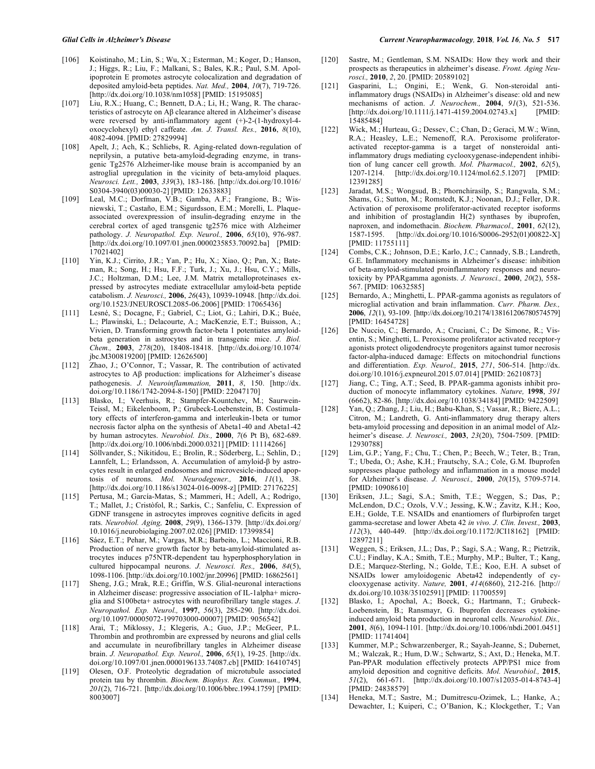- [106] Koistinaho, M.; Lin, S.; Wu, X.; Esterman, M.; Koger, D.; Hanson, J.; Higgs, R.; Liu, F.; Malkani, S.; Bales, K.R.; Paul, S.M. Apolipoprotein E promotes astrocyte colocalization and degradation of deposited amyloid-beta peptides. *Nat. Med.,* **2004**, *10*(7), 719-726. [http://dx.doi.org/10.1038/nm1058] [PMID: 15195085]
- [107] Liu, R.X.; Huang, C.; Bennett, D.A.; Li, H.; Wang, R. The characteristics of astrocyte on Aβ clearance altered in Alzheimer's disease were reversed by anti-inflammatory agent (+)-2-(1-hydroxyl-4 oxocyclohexyl) ethyl caffeate. *Am. J. Transl. Res.,* **2016**, *8*(10), 4082-4094. [PMID: 27829994]
- [108] Apelt, J.; Ach, K.; Schliebs, R. Aging-related down-regulation of neprilysin, a putative beta-amyloid-degrading enzyme, in transgenic Tg2576 Alzheimer-like mouse brain is accompanied by an astroglial upregulation in the vicinity of beta-amyloid plaques. *Neurosci. Lett.,* **2003**, *339*(3), 183-186. [http://dx.doi.org/10.1016/ S0304-3940(03)00030-2] [PMID: 12633883]
- [109] Leal, M.C.; Dorfman, V.B.; Gamba, A.F.; Frangione, B.; Wisniewski, T.; Castaño, E.M.; Sigurdsson, E.M.; Morelli, L. Plaqueassociated overexpression of insulin-degrading enzyme in the cerebral cortex of aged transgenic tg2576 mice with Alzheimer pathology. *J. Neuropathol. Exp. Neurol.,* **2006**, *65*(10), 976-987. [http://dx.doi.org/10.1097/01.jnen.0000235853.70092.ba] [PMID: 17021402]
- [110] Yin, K.J.; Cirrito, J.R.; Yan, P.; Hu, X.; Xiao, Q.; Pan, X.; Bateman, R.; Song, H.; Hsu, F.F.; Turk, J.; Xu, J.; Hsu, C.Y.; Mills, J.C.; Holtzman, D.M.; Lee, J.M. Matrix metalloproteinases expressed by astrocytes mediate extracellular amyloid-beta peptide catabolism. *J. Neurosci.,* **2006**, *26*(43), 10939-10948. [http://dx.doi. org/10.1523/JNEUROSCI.2085-06.2006] [PMID: 17065436]
- [111] Lesné, S.; Docagne, F.; Gabriel, C.; Liot, G.; Lahiri, D.K.; Buée, L.; Plawinski, L.; Delacourte, A.; MacKenzie, E.T.; Buisson, A.; Vivien, D. Transforming growth factor-beta 1 potentiates amyloidbeta generation in astrocytes and in transgenic mice. *J. Biol. Chem.,* **2003**, *278*(20), 18408-18418. [http://dx.doi.org/10.1074/ jbc.M300819200] [PMID: 12626500]
- [112] Zhao, J.; O'Connor, T.; Vassar, R. The contribution of activated astrocytes to Aβ production: implications for Alzheimer's disease pathogenesis. *J. Neuroinflammation,* **2011**, *8*, 150. [http://dx. doi.org/10.1186/1742-2094-8-150] [PMID: 22047170]
- [113] Blasko, I.; Veerhuis, R.; Stampfer-Kountchev, M.; Saurwein-Teissl, M.; Eikelenboom, P.; Grubeck-Loebenstein, B. Costimulatory effects of interferon-gamma and interleukin-1beta or tumor necrosis factor alpha on the synthesis of Abeta1-40 and Abeta1-42 by human astrocytes. *Neurobiol. Dis.,* **2000**, *7*(6 Pt B), 682-689. [http://dx.doi.org/10.1006/nbdi.2000.0321] [PMID: 11114266]
- [114] Söllvander, S.; Nikitidou, E.; Brolin, R.; Söderberg, L.; Sehlin, D.; Lannfelt, L.; Erlandsson, A. Accumulation of amyloid-β by astrocytes result in enlarged endosomes and microvesicle-induced apoptosis of neurons. *Mol. Neurodegener.,* **2016**, *11*(1), 38. [http://dx.doi.org/10.1186/s13024-016-0098-z] [PMID: 27176225]
- [115] Pertusa, M.; García-Matas, S.; Mammeri, H.; Adell, A.; Rodrigo, T.; Mallet, J.; Cristòfol, R.; Sarkis, C.; Sanfeliu, C. Expression of GDNF transgene in astrocytes improves cognitive deficits in aged rats. *Neurobiol. Aging,* **2008**, *29*(9), 1366-1379. [http://dx.doi.org/ 10.1016/j.neurobiolaging.2007.02.026] [PMID: 17399854]
- [116] Sáez, E.T.; Pehar, M.; Vargas, M.R.; Barbeito, L.; Maccioni, R.B. Production of nerve growth factor by beta-amyloid-stimulated astrocytes induces p75NTR-dependent tau hyperphosphorylation in cultured hippocampal neurons. *J. Neurosci. Res.,* **2006**, *84*(5), 1098-1106. [http://dx.doi.org/10.1002/jnr.20996] [PMID: 16862561]
- [117] Sheng, J.G.; Mrak, R.E.; Griffin, W.S. Glial-neuronal interactions in Alzheimer disease: progressive association of IL-1alpha+ microglia and S100beta+ astrocytes with neurofibrillary tangle stages. *J. Neuropathol. Exp. Neurol.,* **1997**, *56*(3), 285-290. [http://dx.doi. org/10.1097/00005072-199703000-00007] [PMID: 9056542]
- [118] Arai, T.; Miklossy, J.; Klegeris, A.; Guo, J.P.; McGeer, P.L. Thrombin and prothrombin are expressed by neurons and glial cells and accumulate in neurofibrillary tangles in Alzheimer disease brain. *J. Neuropathol. Exp. Neurol.,* **2006**, *65*(1), 19-25. [http://dx. doi.org/10.1097/01.jnen.0000196133.74087.cb] [PMID: 16410745]
- [119] Olesen, O.F. Proteolytic degradation of microtubule associated protein tau by thrombin. *Biochem. Biophys. Res. Commun.,* **1994**, *201*(2), 716-721. [http://dx.doi.org/10.1006/bbrc.1994.1759] [PMID: 8003007]
- [120] Sastre, M.; Gentleman, S.M. NSAIDs: How they work and their prospects as therapeutics in alzheimer's disease. *Front. Aging Neurosci.,* **2010**, *2*, 20. [PMID: 20589102]
- [121] Gasparini, L.; Ongini, E.; Wenk, G. Non-steroidal antiinflammatory drugs (NSAIDs) in Alzheimer's disease: old and new mechanisms of action. *J. Neurochem.,* **2004**, *91*(3), 521-536. [http://dx.doi.org/10.1111/j.1471-4159.2004.02743.x] [PMID: 15485484]
- [122] Wick, M.; Hurteau, G.; Dessev, C.; Chan, D.; Geraci, M.W.; Winn, R.A.; Heasley, L.E.; Nemenoff, R.A. Peroxisome proliferatoractivated receptor-gamma is a target of nonsteroidal antiinflammatory drugs mediating cyclooxygenase-independent inhibition of lung cancer cell growth. *Mol. Pharmacol.,* **2002**, *62*(5), 1207-1214. [http://dx.doi.org/10.1124/mol.62.5.1207] [PMID: 12391285]
- [123] Jaradat, M.S.; Wongsud, B.; Phornchirasilp, S.; Rangwala, S.M.; Shams, G.; Sutton, M.; Romstedt, K.J.; Noonan, D.J.; Feller, D.R. Activation of peroxisome proliferator-activated receptor isoforms and inhibition of prostaglandin H(2) synthases by ibuprofen, naproxen, and indomethacin. *Biochem. Pharmacol.,* **2001**, *62*(12), [http://dx.doi.org/10.1016/S0006-2952(01)00822-X] [PMID: 11755111]
- [124] Combs, C.K.; Johnson, D.E.; Karlo, J.C.; Cannady, S.B.; Landreth, G.E. Inflammatory mechanisms in Alzheimer's disease: inhibition of beta-amyloid-stimulated proinflammatory responses and neurotoxicity by PPARgamma agonists. *J. Neurosci.,* **2000**, *20*(2), 558- 567. [PMID: 10632585]
- [125] Bernardo, A.; Minghetti, L. PPAR-gamma agonists as regulators of microglial activation and brain inflammation. *Curr. Pharm. Des.,*  **2006**, *12*(1), 93-109. [http://dx.doi.org/10.2174/138161206780574579] [PMID: 16454728]
- [126] De Nuccio, C.; Bernardo, A.; Cruciani, C.; De Simone, R.; Visentin, S.; Minghetti, L. Peroxisome proliferator activated receptor-γ agonists protect oligodendrocyte progenitors against tumor necrosis factor-alpha-induced damage: Effects on mitochondrial functions and differentiation. *Exp. Neurol.,* **2015**, *271*, 506-514. [http://dx. doi.org/10.1016/j.expneurol.2015.07.014] [PMID: 26210873]
- [127] Jiang, C.; Ting, A.T.; Seed, B. PPAR-gamma agonists inhibit production of monocyte inflammatory cytokines. *Nature,* **1998**, *391* (6662), 82-86. [http://dx.doi.org/10.1038/34184] [PMID: 9422509]
- [128] Yan, Q.; Zhang, J.; Liu, H.; Babu-Khan, S.; Vassar, R.; Biere, A.L.; Citron, M.; Landreth, G. Anti-inflammatory drug therapy alters beta-amyloid processing and deposition in an animal model of Alzheimer's disease. *J. Neurosci.,* **2003**, *23*(20), 7504-7509. [PMID: 12930788]
- [129] Lim, G.P.; Yang, F.; Chu, T.; Chen, P.; Beech, W.; Teter, B.; Tran, T.; Ubeda, O.; Ashe, K.H.; Frautschy, S.A.; Cole, G.M. Ibuprofen suppresses plaque pathology and inflammation in a mouse model for Alzheimer's disease. *J. Neurosci.,* **2000**, *20*(15), 5709-5714. [PMID: 10908610]
- [130] Eriksen, J.L.; Sagi, S.A.; Smith, T.E.; Weggen, S.; Das, P.; McLendon, D.C.; Ozols, V.V.; Jessing, K.W.; Zavitz, K.H.; Koo, E.H.; Golde, T.E. NSAIDs and enantiomers of flurbiprofen target gamma-secretase and lower Abeta 42 *in vivo. J. Clin. Invest.,* **2003**, *112*(3), 440-449. [http://dx.doi.org/10.1172/JCI18162] [PMID: 12897211]
- [131] Weggen, S.; Eriksen, J.L.; Das, P.; Sagi, S.A.; Wang, R.; Pietrzik, C.U.; Findlay, K.A.; Smith, T.E.; Murphy, M.P.; Bulter, T.; Kang, D.E.; Marquez-Sterling, N.; Golde, T.E.; Koo, E.H. A subset of NSAIDs lower amyloidogenic Abeta42 independently of cyclooxygenase activity. *Nature,* **2001**, *414*(6860), 212-216. [http:// dx.doi.org/10.1038/35102591] [PMID: 11700559]
- [132] Blasko, I.; Apochal, A.; Boeck, G.; Hartmann, T.; Grubeck-Loebenstein, B.; Ransmayr, G. Ibuprofen decreases cytokineinduced amyloid beta production in neuronal cells. *Neurobiol. Dis.,*  **2001**, *8*(6), 1094-1101. [http://dx.doi.org/10.1006/nbdi.2001.0451] [PMID: 11741404]
- [133] Kummer, M.P.; Schwarzenberger, R.; Sayah-Jeanne, S.; Dubernet, M.; Walczak, R.; Hum, D.W.; Schwartz, S.; Axt, D.; Heneka, M.T. Pan-PPAR modulation effectively protects APP/PS1 mice from amyloid deposition and cognitive deficits. *Mol. Neurobiol.,* **2015**, *51*(2), 661-671. [http://dx.doi.org/10.1007/s12035-014-8743-4] [PMID: 24838579]
- [134] Heneka, M.T.; Sastre, M.; Dumitrescu-Ozimek, L.; Hanke, A.; Dewachter, I.; Kuiperi, C.; O'Banion, K.; Klockgether, T.; Van